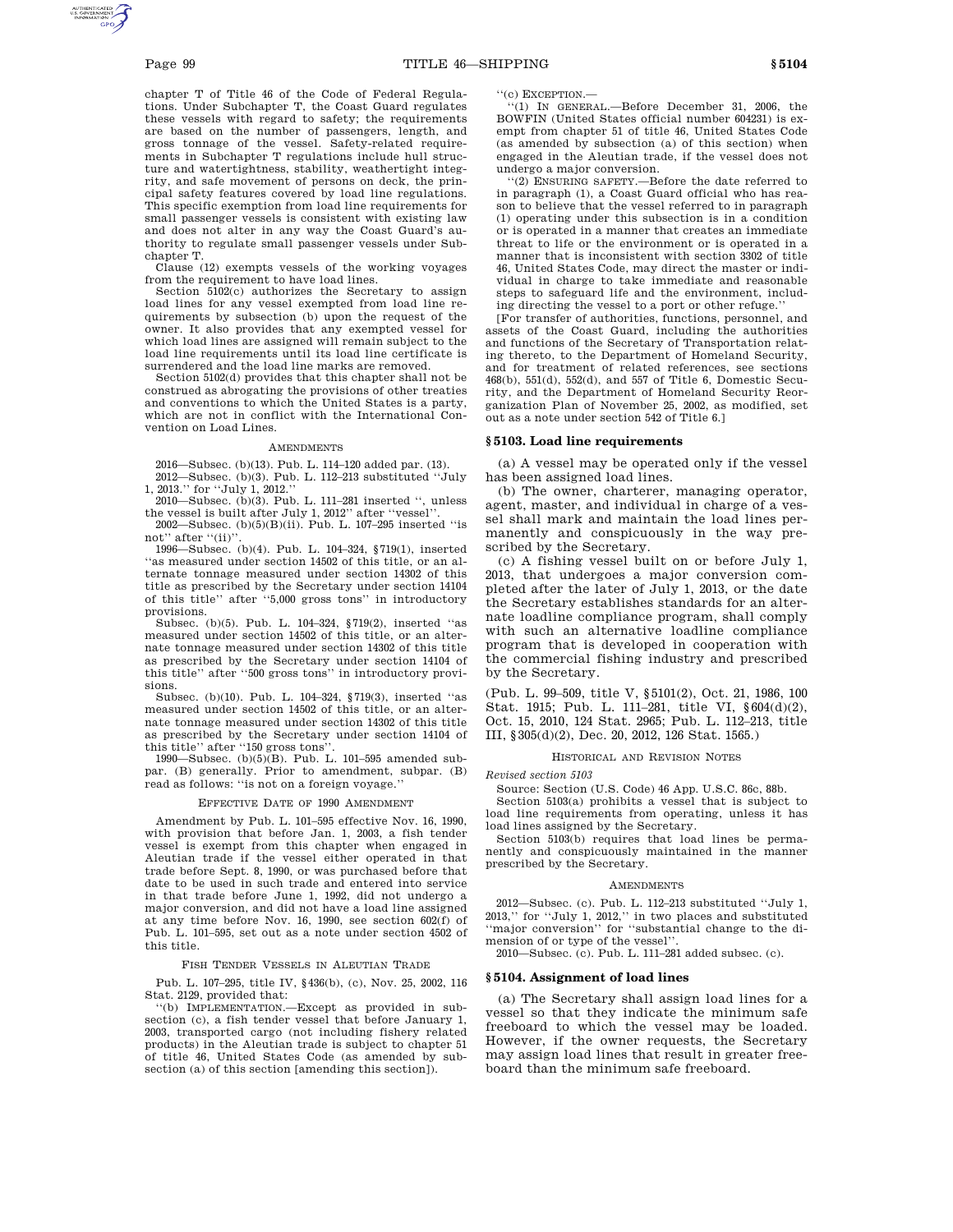chapter T of Title 46 of the Code of Federal Regulations. Under Subchapter T, the Coast Guard regulates these vessels with regard to safety; the requirements are based on the number of passengers, length, and gross tonnage of the vessel. Safety-related requirements in Subchapter T regulations include hull structure and watertightness, stability, weathertight integrity, and safe movement of persons on deck, the principal safety features covered by load line regulations. This specific exemption from load line requirements for small passenger vessels is consistent with existing law and does not alter in any way the Coast Guard's authority to regulate small passenger vessels under Subchapter T.

Clause (12) exempts vessels of the working voyages from the requirement to have load lines.

Section 5102(c) authorizes the Secretary to assign load lines for any vessel exempted from load line requirements by subsection (b) upon the request of the owner. It also provides that any exempted vessel for which load lines are assigned will remain subject to the load line requirements until its load line certificate is surrendered and the load line marks are removed.

Section 5102(d) provides that this chapter shall not be construed as abrogating the provisions of other treaties and conventions to which the United States is a party, which are not in conflict with the International Convention on Load Lines.

## AMENDMENTS

2016—Subsec. (b)(13). Pub. L. 114–120 added par. (13).

2012—Subsec. (b)(3). Pub. L. 112–213 substituted ''July 1, 2013.'' for ''July 1, 2012.''

2010—Subsec. (b)(3). Pub. L. 111–281 inserted '', unless the vessel is built after July 1, 2012'' after ''vessel''.

2002—Subsec. (b)(5)(B)(ii). Pub. L. 107–295 inserted ''is not" after "(ii)"

1996—Subsec. (b)(4). Pub. L. 104–324, §719(1), inserted ''as measured under section 14502 of this title, or an alternate tonnage measured under section 14302 of this title as prescribed by the Secretary under section 14104 of this title'' after ''5,000 gross tons'' in introductory provisions.

Subsec. (b)(5). Pub. L. 104–324, §719(2), inserted ''as measured under section 14502 of this title, or an alternate tonnage measured under section 14302 of this title as prescribed by the Secretary under section 14104 of this title'' after ''500 gross tons'' in introductory provisions.

Subsec. (b)(10). Pub. L. 104–324, §719(3), inserted ''as measured under section 14502 of this title, or an alternate tonnage measured under section 14302 of this title as prescribed by the Secretary under section 14104 of this title'' after ''150 gross tons''.

1990—Subsec. (b)(5)(B). Pub. L. 101–595 amended subpar. (B) generally. Prior to amendment, subpar. (B) read as follows: ''is not on a foreign voyage.''

## EFFECTIVE DATE OF 1990 AMENDMENT

Amendment by Pub. L. 101–595 effective Nov. 16, 1990, with provision that before Jan. 1, 2003, a fish tender vessel is exempt from this chapter when engaged in Aleutian trade if the vessel either operated in that trade before Sept. 8, 1990, or was purchased before that date to be used in such trade and entered into service in that trade before June 1, 1992, did not undergo a major conversion, and did not have a load line assigned at any time before Nov. 16, 1990, see section 602(f) of Pub. L. 101–595, set out as a note under section 4502 of this title.

# FISH TENDER VESSELS IN ALEUTIAN TRADE

Pub. L. 107–295, title IV, §436(b), (c), Nov. 25, 2002, 116 Stat. 2129, provided that:

''(b) IMPLEMENTATION.—Except as provided in subsection (c), a fish tender vessel that before January 1, 2003, transported cargo (not including fishery related products) in the Aleutian trade is subject to chapter 51 of title 46, United States Code (as amended by subsection (a) of this section [amending this section]).

''(c) EXCEPTION.—

''(1) IN GENERAL.—Before December 31, 2006, the BOWFIN (United States official number 604231) is exempt from chapter 51 of title 46, United States Code (as amended by subsection (a) of this section) when engaged in the Aleutian trade, if the vessel does not undergo a major conversion.

'(2) ENSURING SAFETY.—Before the date referred to in paragraph (1), a Coast Guard official who has reason to believe that the vessel referred to in paragraph (1) operating under this subsection is in a condition or is operated in a manner that creates an immediate threat to life or the environment or is operated in a manner that is inconsistent with section 3302 of title 46, United States Code, may direct the master or individual in charge to take immediate and reasonable steps to safeguard life and the environment, including directing the vessel to a port or other refuge.

[For transfer of authorities, functions, personnel, and assets of the Coast Guard, including the authorities and functions of the Secretary of Transportation relating thereto, to the Department of Homeland Security, and for treatment of related references, see sections 468(b), 551(d), 552(d), and 557 of Title 6, Domestic Security, and the Department of Homeland Security Reorganization Plan of November 25, 2002, as modified, set out as a note under section 542 of Title 6.]

## **§ 5103. Load line requirements**

(a) A vessel may be operated only if the vessel has been assigned load lines.

(b) The owner, charterer, managing operator, agent, master, and individual in charge of a vessel shall mark and maintain the load lines permanently and conspicuously in the way prescribed by the Secretary.

(c) A fishing vessel built on or before July 1, 2013, that undergoes a major conversion completed after the later of July 1, 2013, or the date the Secretary establishes standards for an alternate loadline compliance program, shall comply with such an alternative loadline compliance program that is developed in cooperation with the commercial fishing industry and prescribed by the Secretary.

(Pub. L. 99–509, title V, §5101(2), Oct. 21, 1986, 100 Stat. 1915; Pub. L. 111–281, title VI, §604(d)(2), Oct. 15, 2010, 124 Stat. 2965; Pub. L. 112–213, title III, §305(d)(2), Dec. 20, 2012, 126 Stat. 1565.)

#### HISTORICAL AND REVISION NOTES

*Revised section 5103*

Source: Section (U.S. Code) 46 App. U.S.C. 86c, 88b.

Section 5103(a) prohibits a vessel that is subject to load line requirements from operating, unless it has load lines assigned by the Secretary.

Section 5103(b) requires that load lines be permanently and conspicuously maintained in the manner prescribed by the Secretary.

#### **AMENDMENTS**

2012—Subsec. (c). Pub. L. 112–213 substituted ''July 1, 2013,'' for ''July 1, 2012,'' in two places and substituted ''major conversion'' for ''substantial change to the dimension of or type of the vessel''.

2010—Subsec. (c). Pub. L. 111–281 added subsec. (c).

## **§ 5104. Assignment of load lines**

(a) The Secretary shall assign load lines for a vessel so that they indicate the minimum safe freeboard to which the vessel may be loaded. However, if the owner requests, the Secretary may assign load lines that result in greater freeboard than the minimum safe freeboard.